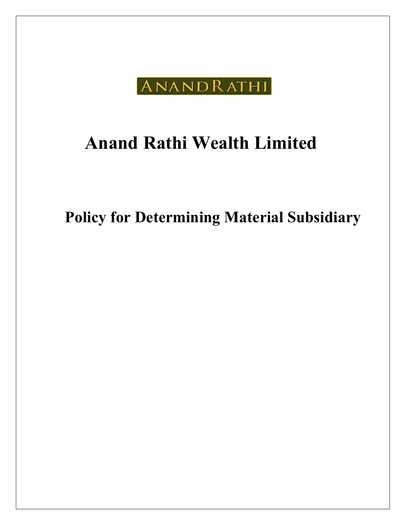

# Anand Rathi Wealth Limited

Policy for Determining Material Subsidiary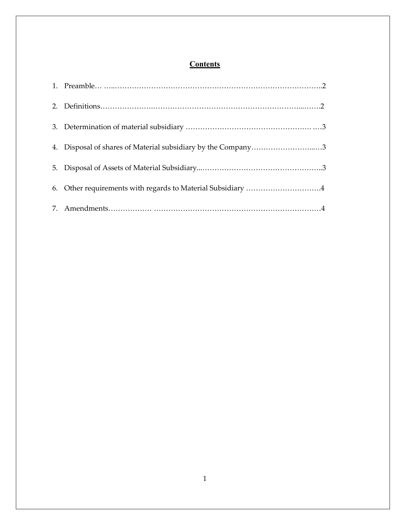# **Contents**

| 4. Disposal of shares of Material subsidiary by the Company3 |
|--------------------------------------------------------------|
|                                                              |
|                                                              |
| 6. Other requirements with regards to Material Subsidiary 4  |
|                                                              |
|                                                              |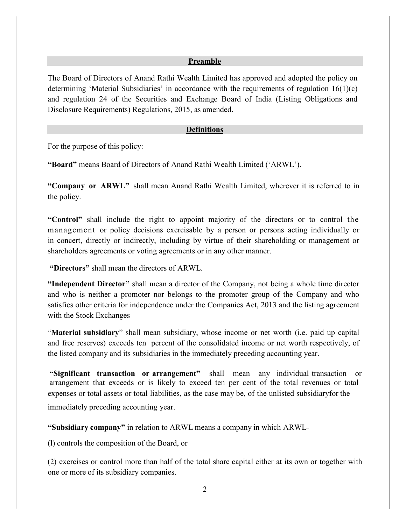#### Preamble

The Board of Directors of Anand Rathi Wealth Limited has approved and adopted the policy on determining 'Material Subsidiaries' in accordance with the requirements of regulation  $16(1)(c)$ and regulation 24 of the Securities and Exchange Board of India (Listing Obligations and Disclosure Requirements) Regulations, 2015, as amended.

#### Definitions

For the purpose of this policy:

"Board" means Board of Directors of Anand Rathi Wealth Limited ('ARWL').

"Company or ARWL" shall mean Anand Rathi Wealth Limited, wherever it is referred to in the policy.

"Control" shall include the right to appoint majority of the directors or to control the management or policy decisions exercisable by a person or persons acting individually or in concert, directly or indirectly, including by virtue of their shareholding or management or shareholders agreements or voting agreements or in any other manner.

"Directors" shall mean the directors of ARWL.

"Independent Director" shall mean a director of the Company, not being a whole time director and who is neither a promoter nor belongs to the promoter group of the Company and who satisfies other criteria for independence under the Companies Act, 2013 and the listing agreement with the Stock Exchanges

"Material subsidiary" shall mean subsidiary, whose income or net worth (i.e. paid up capital and free reserves) exceeds ten percent of the consolidated income or net worth respectively, of the listed company and its subsidiaries in the immediately preceding accounting year.

"Significant transaction or arrangement" shall mean any individual transaction or arrangement that exceeds or is likely to exceed ten per cent of the total revenues or total expenses or total assets or total liabilities, as the case may be, of the unlisted subsidiary for the immediately preceding accounting year.

"Subsidiary company" in relation to ARWL means a company in which ARWL-

(l) controls the composition of the Board, or

(2) exercises or control more than half of the total share capital either at its own or together with one or more of its subsidiary companies.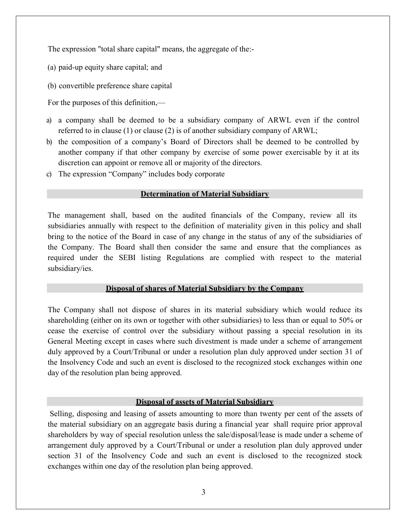The expression "total share capital" means, the aggregate of the:-

- (a) paid-up equity share capital; and
- (b) convertible preference share capital

For the purposes of this definition,—

- a) a company shall be deemed to be a subsidiary company of ARWL even if the control referred to in clause (1) or clause (2) is of another subsidiary company of ARWL;
- b) the composition of a company's Board of Directors shall be deemed to be controlled by another company if that other company by exercise of some power exercisable by it at its discretion can appoint or remove all or majority of the directors.
- c) The expression "Company" includes body corporate

## Determination of Material Subsidiary

The management shall, based on the audited financials of the Company, review all its subsidiaries annually with respect to the definition of materiality given in this policy and shall bring to the notice of the Board in case of any change in the status of any of the subsidiaries of the Company. The Board shall then consider the same and ensure that the compliances as required under the SEBI listing Regulations are complied with respect to the material subsidiary/ies.

# Disposal of shares of Material Subsidiary by the Company

The Company shall not dispose of shares in its material subsidiary which would reduce its shareholding (either on its own or together with other subsidiaries) to less than or equal to 50% or cease the exercise of control over the subsidiary without passing a special resolution in its General Meeting except in cases where such divestment is made under a scheme of arrangement duly approved by a Court/Tribunal or under a resolution plan duly approved under section 31 of the Insolvency Code and such an event is disclosed to the recognized stock exchanges within one day of the resolution plan being approved.

# Disposal of assets of Material Subsidiary

 Selling, disposing and leasing of assets amounting to more than twenty per cent of the assets of the material subsidiary on an aggregate basis during a financial year shall require prior approval shareholders by way of special resolution unless the sale/disposal/lease is made under a scheme of arrangement duly approved by a Court/Tribunal or under a resolution plan duly approved under section 31 of the Insolvency Code and such an event is disclosed to the recognized stock exchanges within one day of the resolution plan being approved.